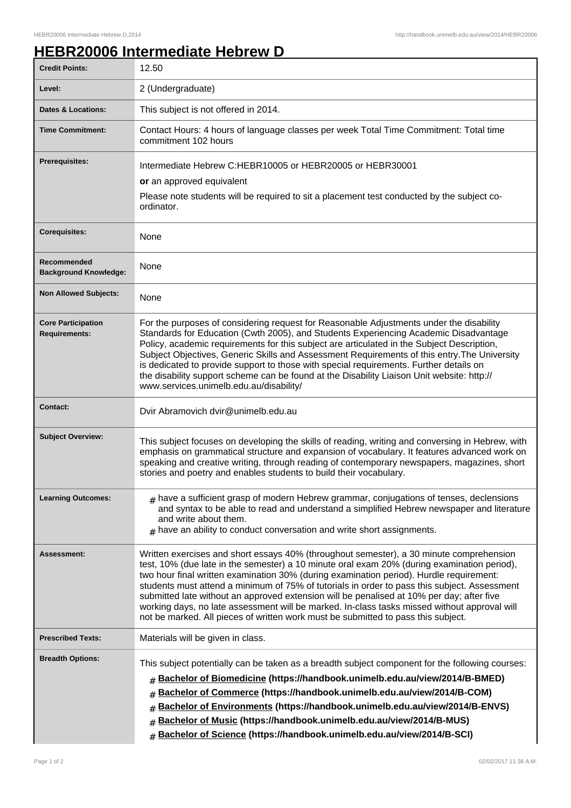## **HEBR20006 Intermediate Hebrew D**

| <b>Credit Points:</b>                             | 12.50                                                                                                                                                                                                                                                                                                                                                                                                                                                                                                                                                                                                                                                               |
|---------------------------------------------------|---------------------------------------------------------------------------------------------------------------------------------------------------------------------------------------------------------------------------------------------------------------------------------------------------------------------------------------------------------------------------------------------------------------------------------------------------------------------------------------------------------------------------------------------------------------------------------------------------------------------------------------------------------------------|
| Level:                                            | 2 (Undergraduate)                                                                                                                                                                                                                                                                                                                                                                                                                                                                                                                                                                                                                                                   |
| <b>Dates &amp; Locations:</b>                     | This subject is not offered in 2014.                                                                                                                                                                                                                                                                                                                                                                                                                                                                                                                                                                                                                                |
| <b>Time Commitment:</b>                           | Contact Hours: 4 hours of language classes per week Total Time Commitment: Total time<br>commitment 102 hours                                                                                                                                                                                                                                                                                                                                                                                                                                                                                                                                                       |
| <b>Prerequisites:</b>                             | Intermediate Hebrew C:HEBR10005 or HEBR20005 or HEBR30001<br>or an approved equivalent<br>Please note students will be required to sit a placement test conducted by the subject co-<br>ordinator.                                                                                                                                                                                                                                                                                                                                                                                                                                                                  |
| <b>Corequisites:</b>                              | None                                                                                                                                                                                                                                                                                                                                                                                                                                                                                                                                                                                                                                                                |
| Recommended<br><b>Background Knowledge:</b>       | <b>None</b>                                                                                                                                                                                                                                                                                                                                                                                                                                                                                                                                                                                                                                                         |
| <b>Non Allowed Subjects:</b>                      | None                                                                                                                                                                                                                                                                                                                                                                                                                                                                                                                                                                                                                                                                |
| <b>Core Participation</b><br><b>Requirements:</b> | For the purposes of considering request for Reasonable Adjustments under the disability<br>Standards for Education (Cwth 2005), and Students Experiencing Academic Disadvantage<br>Policy, academic requirements for this subject are articulated in the Subject Description,<br>Subject Objectives, Generic Skills and Assessment Requirements of this entry. The University<br>is dedicated to provide support to those with special requirements. Further details on<br>the disability support scheme can be found at the Disability Liaison Unit website: http://<br>www.services.unimelb.edu.au/disability/                                                    |
| <b>Contact:</b>                                   | Dvir Abramovich dvir@unimelb.edu.au                                                                                                                                                                                                                                                                                                                                                                                                                                                                                                                                                                                                                                 |
| <b>Subject Overview:</b>                          | This subject focuses on developing the skills of reading, writing and conversing in Hebrew, with<br>emphasis on grammatical structure and expansion of vocabulary. It features advanced work on<br>speaking and creative writing, through reading of contemporary newspapers, magazines, short<br>stories and poetry and enables students to build their vocabulary.                                                                                                                                                                                                                                                                                                |
| <b>Learning Outcomes:</b>                         | $#$ have a sufficient grasp of modern Hebrew grammar, conjugations of tenses, declensions<br>and syntax to be able to read and understand a simplified Hebrew newspaper and literature<br>and write about them.<br>$#$ have an ability to conduct conversation and write short assignments.                                                                                                                                                                                                                                                                                                                                                                         |
| Assessment:                                       | Written exercises and short essays 40% (throughout semester), a 30 minute comprehension<br>test, 10% (due late in the semester) a 10 minute oral exam 20% (during examination period),<br>two hour final written examination 30% (during examination period). Hurdle requirement:<br>students must attend a minimum of 75% of tutorials in order to pass this subject. Assessment<br>submitted late without an approved extension will be penalised at 10% per day; after five<br>working days, no late assessment will be marked. In-class tasks missed without approval will<br>not be marked. All pieces of written work must be submitted to pass this subject. |
| <b>Prescribed Texts:</b>                          | Materials will be given in class.                                                                                                                                                                                                                                                                                                                                                                                                                                                                                                                                                                                                                                   |
| <b>Breadth Options:</b>                           | This subject potentially can be taken as a breadth subject component for the following courses:<br>Bachelor of Biomedicine (https://handbook.unimelb.edu.au/view/2014/B-BMED)<br>#<br>Bachelor of Commerce (https://handbook.unimelb.edu.au/view/2014/B-COM)<br>#<br>Bachelor of Environments (https://handbook.unimelb.edu.au/view/2014/B-ENVS)<br>#<br>Bachelor of Music (https://handbook.unimelb.edu.au/view/2014/B-MUS)<br>#<br>Bachelor of Science (https://handbook.unimelb.edu.au/view/2014/B-SCI)<br>#                                                                                                                                                     |